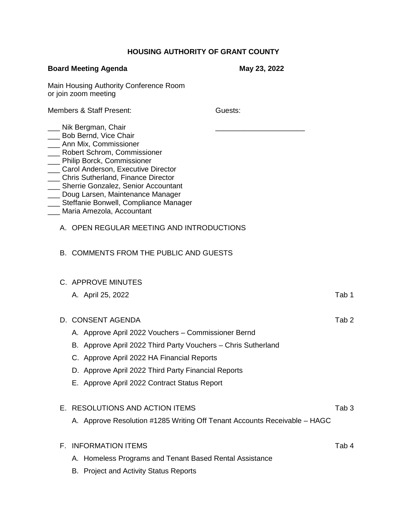## **HOUSING AUTHORITY OF GRANT COUNTY**

| <b>Board Meeting Agenda</b>                                                                                                                                                                                                                                                                                                                                                                                 | May 23, 2022 |                  |
|-------------------------------------------------------------------------------------------------------------------------------------------------------------------------------------------------------------------------------------------------------------------------------------------------------------------------------------------------------------------------------------------------------------|--------------|------------------|
| Main Housing Authority Conference Room<br>or join zoom meeting                                                                                                                                                                                                                                                                                                                                              |              |                  |
| <b>Members &amp; Staff Present:</b>                                                                                                                                                                                                                                                                                                                                                                         | Guests:      |                  |
| Nik Bergman, Chair<br>Bob Bernd, Vice Chair<br>Ann Mix, Commissioner<br>Robert Schrom, Commissioner<br>Philip Borck, Commissioner<br>Carol Anderson, Executive Director<br>Chris Sutherland, Finance Director<br>Sherrie Gonzalez, Senior Accountant<br>Doug Larsen, Maintenance Manager<br>Steffanie Bonwell, Compliance Manager<br>Maria Amezola, Accountant<br>A. OPEN REGULAR MEETING AND INTRODUCTIONS |              |                  |
| <b>B. COMMENTS FROM THE PUBLIC AND GUESTS</b>                                                                                                                                                                                                                                                                                                                                                               |              |                  |
| C. APPROVE MINUTES                                                                                                                                                                                                                                                                                                                                                                                          |              |                  |
| A. April 25, 2022                                                                                                                                                                                                                                                                                                                                                                                           |              | Tab 1            |
| D. CONSENT AGENDA<br>A. Approve April 2022 Vouchers - Commissioner Bernd<br>B. Approve April 2022 Third Party Vouchers - Chris Sutherland<br>C. Approve April 2022 HA Financial Reports<br>D. Approve April 2022 Third Party Financial Reports<br>E. Approve April 2022 Contract Status Report                                                                                                              |              | Tab <sub>2</sub> |
| E. RESOLUTIONS AND ACTION ITEMS<br>A. Approve Resolution #1285 Writing Off Tenant Accounts Receivable – HAGC                                                                                                                                                                                                                                                                                                |              | Tab <sub>3</sub> |
| <b>F. INFORMATION ITEMS</b><br>A. Homeless Programs and Tenant Based Rental Assistance<br>$\mathbf{A}$ and the Original De                                                                                                                                                                                                                                                                                  |              | Tab 4            |

B. Project and Activity Status Reports